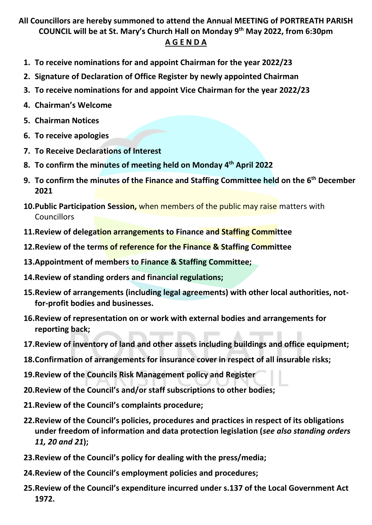# **All Councillors are hereby summoned to attend the Annual MEETING of PORTREATH PARISH COUNCIL will be at St. Mary's Church Hall on Monday 9 th May 2022, from 6:30pm**

#### **A G E N D A**

- **1. To receive nominations for and appoint Chairman for the year 2022/23**
- **2. Signature of Declaration of Office Register by newly appointed Chairman**
- **3. To receive nominations for and appoint Vice Chairman for the year 2022/23**
- **4. Chairman's Welcome**
- **5. Chairman Notices**
- **6. To receive apologies**
- **7. To Receive Declarations of Interest**
- **8. To confirm the minutes of meeting held on Monday 4 th April 2022**
- **9. To confirm the minutes of the Finance and Staffing Committee held on the 6 th December 2021**
- **10.Public Participation Session,** when members of the public may raise matters with Councillors
- **11.Review of delegation arrangements to Finance and Staffing Committee**
- **12.Review of the terms of reference for the Finance & Staffing Committee**
- **13.Appointment of members to Finance & Staffing Committee;**
- **14.Review of standing orders and financial regulations;**
- **15.Review of arrangements (including legal agreements) with other local authorities, notfor-profit bodies and businesses.**
- **16.Review of representation on or work with external bodies and arrangements for reporting back;**
- **17.Review of inventory of land and other assets including buildings and office equipment;**
- **18.Confirmation of arrangements for insurance cover in respect of all insurable risks;**
- **19.Review of the Councils Risk Management policy and Register**
- **20.Review of the Council's and/or staff subscriptions to other bodies;**
- **21.Review of the Council's complaints procedure;**
- **22.Review of the Council's policies, procedures and practices in respect of its obligations under freedom of information and data protection legislation (***see also standing orders 11, 20 and 21***);**
- **23.Review of the Council's policy for dealing with the press/media;**
- **24.Review of the Council's employment policies and procedures;**
- **25.Review of the Council's expenditure incurred under s.137 of the Local Government Act 1972.**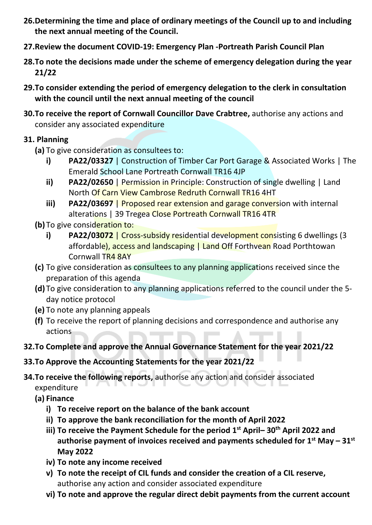- **26.Determining the time and place of ordinary meetings of the Council up to and including the next annual meeting of the Council.**
- **27.Review the document COVID-19: Emergency Plan -Portreath Parish Council Plan**
- **28.To note the decisions made under the scheme of emergency delegation during the year 21/22**
- **29.To consider extending the period of emergency delegation to the clerk in consultation with the council until the next annual meeting of the council**
- **30.To receive the report of Cornwall Councillor Dave Crabtree,** authorise any actions and consider any associated expenditure

### **31. Planning**

- **(a)** To give consideration as consultees to:
	- **i) PA22/03327** | Construction of Timber Car Port Garage & Associated Works | The Emerald School Lane Portreath Cornwall TR16 4JP
	- **ii) PA22/02650** | Permission in Principle: Construction of single dwelling | Land North Of Carn View Cambrose Redruth Cornwall TR16 4HT
	- **iii) PA22/03697** | Proposed rear extension and garage conversion with internal alterations | 39 Tregea Close Portreath Cornwall TR16 4TR
- **(b)** To give consideration to:
	- **i) PA22/03072** | Cross-subsidy residential development consisting 6 dwellings (3) affordable), access and landscaping | Land Off Forthvean Road Porthtowan Cornwall TR4 8AY
- **(c)** To give consideration as consultees to any planning applications received since the preparation of this agenda
- **(d)** To give consideration to any planning applications referred to the council under the 5 day notice protocol
- **(e)** To note any planning appeals
- **(f)** To receive the report of planning decisions and correspondence and authorise any actions
- **32.To Complete and approve the Annual Governance Statement for the year 2021/22**
- **33.To Approve the Accounting Statements for the year 2021/22**
- **34.To receive the following reports,** authorise any action and consider associated expenditure
	- **(a) Finance**
		- **i) To receive report on the balance of the bank account**
		- **ii) To approve the bank reconciliation for the month of April 2022**
		- **iii) To receive the Payment Schedule for the period 1 st April– 30th April 2022 and authorise payment of invoices received and payments scheduled for 1 st May – 31st May 2022**
		- **iv) To note any income received**
		- **v) To note the receipt of CIL funds and consider the creation of a CIL reserve,** authorise any action and consider associated expenditure
		- **vi) To note and approve the regular direct debit payments from the current account**